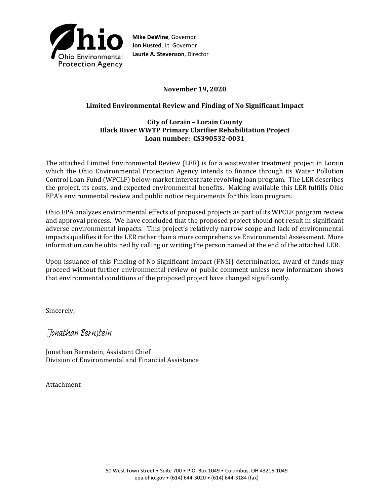

**Mike DeWine**, Governor **Jon Husted**, Lt. Governor **Laurie A. Stevenson**, Director

## **November 19, 2020**

# **Limited Environmental Review and Finding of No Significant Impact**

### **City of Lorain – Lorain County Black River WWTP Primary Clarifier Rehabilitation Project Loan number: CS390532-0031**

The attached Limited Environmental Review (LER) is for a wastewater treatment project in Lorain which the Ohio Environmental Protection Agency intends to finance through its Water Pollution Control Loan Fund (WPCLF) below-market interest rate revolving loan program. The LER describes the project, its costs, and expected environmental benefits. Making available this LER fulfills Ohio EPA's environmental review and public notice requirements for this loan program.

Ohio EPA analyzes environmental effects of proposed projects as part of its WPCLF program review and approval process. We have concluded that the proposed project should not result in significant adverse environmental impacts. This project's relatively narrow scope and lack of environmental impacts qualifies it for the LER rather than a more comprehensive Environmental Assessment. More information can be obtained by calling or writing the person named at the end of the attached LER.

Upon issuance of this Finding of No Significant Impact (FNSI) determination, award of funds may proceed without further environmental review or public comment unless new information shows that environmental conditions of the proposed project have changed significantly.

Sincerely,

Jonathan Bernstein

Jonathan Bernstein, Assistant Chief Division of Environmental and Financial Assistance

Attachment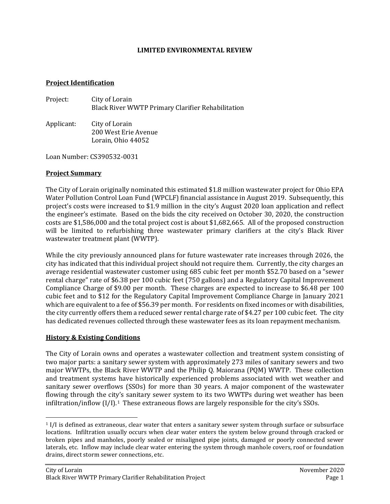#### **LIMITED ENVIRONMENTAL REVIEW**

#### **Project Identification**

| Project:   | City of Lorain<br>Black River WWTP Primary Clarifier Rehabilitation |
|------------|---------------------------------------------------------------------|
| Applicant: | City of Lorain                                                      |

200 West Erie Avenue Lorain, Ohio 44052

Loan Number: CS390532-0031

### **Project Summary**

The City of Lorain originally nominated this estimated \$1.8 million wastewater project for Ohio EPA Water Pollution Control Loan Fund (WPCLF) financial assistance in August 2019. Subsequently, this project's costs were increased to \$1.9 million in the city's August 2020 loan application and reflect the engineer's estimate. Based on the bids the city received on October 30, 2020, the construction costs are \$1,586,000 and the total project cost is about \$1,682,665. All of the proposed construction will be limited to refurbishing three wastewater primary clarifiers at the city's Black River wastewater treatment plant (WWTP).

While the city previously announced plans for future wastewater rate increases through 2026, the city has indicated that this individual project should not require them. Currently, the city charges an average residential wastewater customer using 685 cubic feet per month \$52.70 based on a "sewer rental charge" rate of \$6.38 per 100 cubic feet (750 gallons) and a Regulatory Capital Improvement Compliance Charge of \$9.00 per month. These charges are expected to increase to \$6.48 per 100 cubic feet and to \$12 for the Regulatory Capital Improvement Compliance Charge in January 2021 which are equivalent to a fee of \$56.39 per month. For residents on fixed incomes or with disabilities, the city currently offers them a reduced sewer rental charge rate of \$4.27 per 100 cubic feet. The city has dedicated revenues collected through these wastewater fees as its loan repayment mechanism.

### **History & Existing Conditions**

The City of Lorain owns and operates a wastewater collection and treatment system consisting of two major parts: a sanitary sewer system with approximately 273 miles of sanitary sewers and two major WWTPs, the Black River WWTP and the Philip Q. Maiorana (PQM) WWTP. These collection and treatment systems have historically experienced problems associated with wet weather and sanitary sewer overflows (SSOs) for more than 30 years. A major component of the wastewater flowing through the city's sanitary sewer system to its two WWTPs during wet weather has been infiltration/inflow  $[I/I]$ .<sup>[1](#page-1-0)</sup> These extraneous flows are largely responsible for the city's SSOs.

<span id="page-1-0"></span><sup>1</sup> I/I is defined as extraneous, clear water that enters a sanitary sewer system through surface or subsurface locations. Infiltration usually occurs when clear water enters the system below ground through cracked or broken pipes and manholes, poorly sealed or misaligned pipe joints, damaged or poorly connected sewer laterals, etc. Inflow may include clear water entering the system through manhole covers, roof or foundation drains, direct storm sewer connections, etc.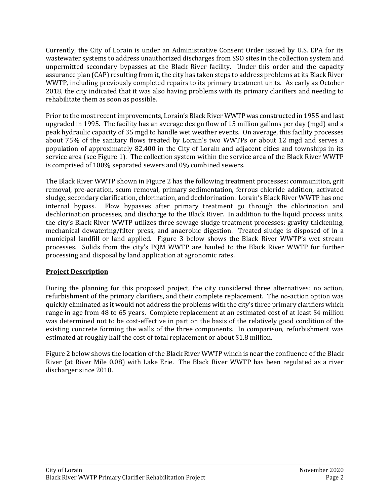Currently, the City of Lorain is under an Administrative Consent Order issued by U.S. EPA for its wastewater systems to address unauthorized discharges from SSO sites in the collection system and unpermitted secondary bypasses at the Black River facility. Under this order and the capacity assurance plan (CAP) resulting from it, the city has taken steps to address problems at its Black River WWTP, including previously completed repairs to its primary treatment units. As early as October 2018, the city indicated that it was also having problems with its primary clarifiers and needing to rehabilitate them as soon as possible.

Prior to the most recent improvements, Lorain's Black River WWTP was constructed in 1955 and last upgraded in 1995. The facility has an average design flow of 15 million gallons per day (mgd) and a peak hydraulic capacity of 35 mgd to handle wet weather events. On average, this facility processes about 75% of the sanitary flows treated by Lorain's two WWTPs or about 12 mgd and serves a population of approximately 82,400 in the City of Lorain and adjacent cities and townships in its service area (see Figure 1). The collection system within the service area of the Black River WWTP is comprised of 100% separated sewers and 0% combined sewers.

The Black River WWTP shown in Figure 2 has the following treatment processes: communition, grit removal, pre-aeration, scum removal, primary sedimentation, ferrous chloride addition, activated sludge, secondary clarification, chlorination, and dechlorination. Lorain's Black River WWTP has one internal bypass. Flow bypasses after primary treatment go through the chlorination and dechlorination processes, and discharge to the Black River. In addition to the liquid process units, the city's Black River WWTP utilizes three sewage sludge treatment processes: gravity thickening, mechanical dewatering/filter press, and anaerobic digestion. Treated sludge is disposed of in a municipal landfill or land applied. Figure 3 below shows the Black River WWTP's wet stream processes. Solids from the city's PQM WWTP are hauled to the Black River WWTP for further processing and disposal by land application at agronomic rates.

# **Project Description**

During the planning for this proposed project, the city considered three alternatives: no action, refurbishment of the primary clarifiers, and their complete replacement. The no-action option was quickly eliminated as it would not address the problems with the city's three primary clarifiers which range in age from 48 to 65 years. Complete replacement at an estimated cost of at least \$4 million was determined not to be cost-effective in part on the basis of the relatively good condition of the existing concrete forming the walls of the three components. In comparison, refurbishment was estimated at roughly half the cost of total replacement or about \$1.8 million.

Figure 2 below shows the location of the Black River WWTP which is near the confluence of the Black River (at River Mile 0.08) with Lake Erie. The Black River WWTP has been regulated as a river discharger since 2010.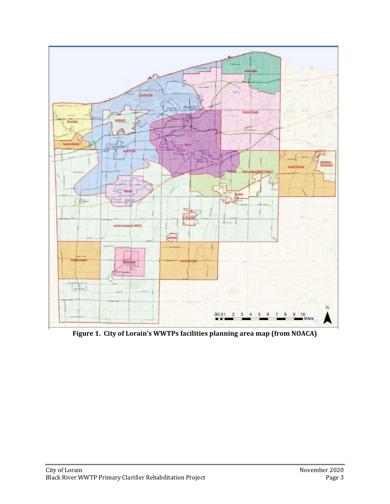

**Figure 1. City of Lorain's WWTPs facilities planning area map (from NOACA)**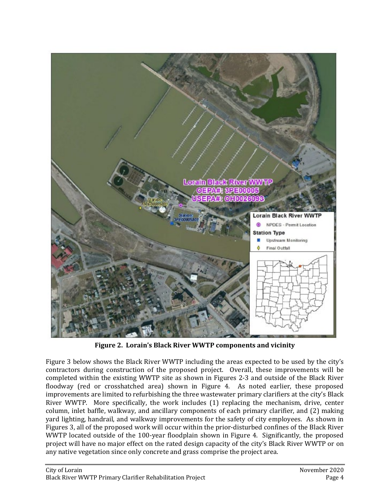

**Figure 2. Lorain's Black River WWTP components and vicinity**

Figure 3 below shows the Black River WWTP including the areas expected to be used by the city's contractors during construction of the proposed project. Overall, these improvements will be completed within the existing WWTP site as shown in Figures 2-3 and outside of the Black River floodway (red or crosshatched area) shown in Figure 4. As noted earlier, these proposed improvements are limited to refurbishing the three wastewater primary clarifiers at the city's Black River WWTP. More specifically, the work includes (1) replacing the mechanism, drive, center column, inlet baffle, walkway, and ancillary components of each primary clarifier, and (2) making yard lighting, handrail, and walkway improvements for the safety of city employees. As shown in Figures 3, all of the proposed work will occur within the prior-disturbed confines of the Black River WWTP located outside of the 100-year floodplain shown in Figure 4. Significantly, the proposed project will have no major effect on the rated design capacity of the city's Black River WWTP or on any native vegetation since only concrete and grass comprise the project area.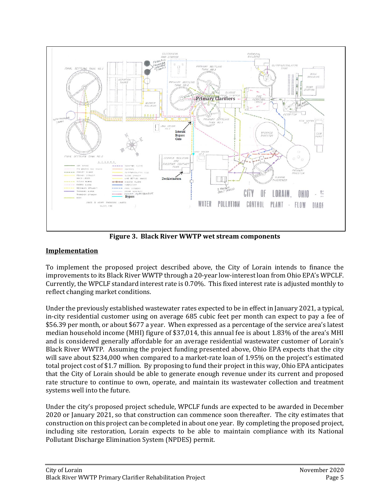

**Figure 3. Black River WWTP wet stream components**

# **Implementation**

To implement the proposed project described above, the City of Lorain intends to finance the improvements to its Black River WWTP through a 20-year low-interest loan from Ohio EPA's WPCLF. Currently, the WPCLF standard interest rate is 0.70%. This fixed interest rate is adjusted monthly to reflect changing market conditions.

Under the previously established wastewater rates expected to be in effect in January 2021, a typical, in-city residential customer using on average 685 cubic feet per month can expect to pay a fee of \$56.39 per month, or about \$677 a year. When expressed as a percentage of the service area's latest median household income (MHI) figure of \$37,014, this annual fee is about 1.83% of the area's MHI and is considered generally affordable for an average residential wastewater customer of Lorain's Black River WWTP. Assuming the project funding presented above, Ohio EPA expects that the city will save about \$234,000 when compared to a market-rate loan of 1.95% on the project's estimated total project cost of \$1.7 million. By proposing to fund their project in this way, Ohio EPA anticipates that the City of Lorain should be able to generate enough revenue under its current and proposed rate structure to continue to own, operate, and maintain its wastewater collection and treatment systems well into the future.

Under the city's proposed project schedule, WPCLF funds are expected to be awarded in December 2020 or January 2021, so that construction can commence soon thereafter. The city estimates that construction on this project can be completed in about one year. By completing the proposed project, including site restoration, Lorain expects to be able to maintain compliance with its National Pollutant Discharge Elimination System (NPDES) permit.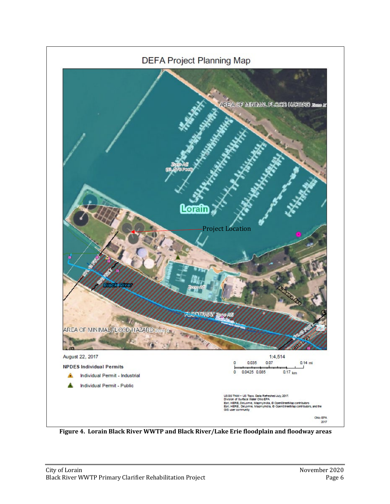

**Figure 4. Lorain Black River WWTP and Black River/Lake Erie floodplain and floodway areas**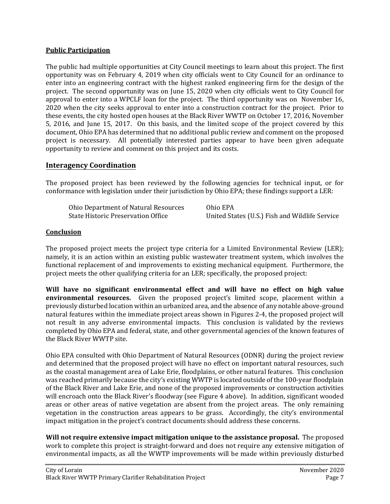## **Public Participation**

The public had multiple opportunities at City Council meetings to learn about this project. The first opportunity was on February 4, 2019 when city officials went to City Council for an ordinance to enter into an engineering contract with the highest ranked engineering firm for the design of the project. The second opportunity was on June 15, 2020 when city officials went to City Council for approval to enter into a WPCLF loan for the project. The third opportunity was on November 16, 2020 when the city seeks approval to enter into a construction contract for the project. Prior to these events, the city hosted open houses at the Black River WWTP on October 17, 2016, November 5, 2016, and June 15, 2017. On this basis, and the limited scope of the project covered by this document, Ohio EPA has determined that no additional public review and comment on the proposed project is necessary. All potentially interested parties appear to have been given adequate opportunity to review and comment on this project and its costs.

# **Interagency Coordination**

The proposed project has been reviewed by the following agencies for technical input, or for conformance with legislation under their jurisdiction by Ohio EPA; these findings support a LER:

| Ohio Department of Natural Resources | Ohio EPA                                       |
|--------------------------------------|------------------------------------------------|
| State Historic Preservation Office   | United States (U.S.) Fish and Wildlife Service |

## **Conclusion**

The proposed project meets the project type criteria for a Limited Environmental Review (LER); namely, it is an action within an existing public wastewater treatment system, which involves the functional replacement of and improvements to existing mechanical equipment. Furthermore, the project meets the other qualifying criteria for an LER; specifically, the proposed project:

**Will have no significant environmental effect and will have no effect on high value environmental resources.** Given the proposed project's limited scope, placement within a previously disturbed location within an urbanized area, and the absence of any notable above-ground natural features within the immediate project areas shown in Figures 2-4, the proposed project will not result in any adverse environmental impacts. This conclusion is validated by the reviews completed by Ohio EPA and federal, state, and other governmental agencies of the known features of the Black River WWTP site.

Ohio EPA consulted with Ohio Department of Natural Resources (ODNR) during the project review and determined that the proposed project will have no effect on important natural resources, such as the coastal management area of Lake Erie, floodplains, or other natural features. This conclusion was reached primarily because the city's existing WWTP is located outside of the 100-year floodplain of the Black River and Lake Erie, and none of the proposed improvements or construction activities will encroach onto the Black River's floodway (see Figure 4 above). In addition, significant wooded areas or other areas of native vegetation are absent from the project areas. The only remaining vegetation in the construction areas appears to be grass. Accordingly, the city's environmental impact mitigation in the project's contract documents should address these concerns.

**Will not require extensive impact mitigation unique to the assistance proposal.** The proposed work to complete this project is straight-forward and does not require any extensive mitigation of environmental impacts, as all the WWTP improvements will be made within previously disturbed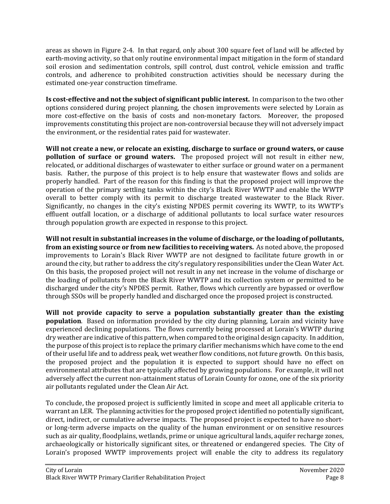areas as shown in Figure 2-4. In that regard, only about 300 square feet of land will be affected by earth-moving activity, so that only routine environmental impact mitigation in the form of standard soil erosion and sedimentation controls, spill control, dust control, vehicle emission and traffic controls, and adherence to prohibited construction activities should be necessary during the estimated one-year construction timeframe.

**Is cost-effective and not the subject of significant public interest.** In comparison to the two other options considered during project planning, the chosen improvements were selected by Lorain as more cost-effective on the basis of costs and non-monetary factors. Moreover, the proposed improvements constituting this project are non-controversial because they will not adversely impact the environment, or the residential rates paid for wastewater.

**Will not create a new, or relocate an existing, discharge to surface or ground waters, or cause pollution of surface or ground waters.** The proposed project will not result in either new, relocated, or additional discharges of wastewater to either surface or ground water on a permanent basis. Rather, the purpose of this project is to help ensure that wastewater flows and solids are properly handled. Part of the reason for this finding is that the proposed project will improve the operation of the primary settling tanks within the city's Black River WWTP and enable the WWTP overall to better comply with its permit to discharge treated wastewater to the Black River. Significantly, no changes in the city's existing NPDES permit covering its WWTP, to its WWTP's effluent outfall location, or a discharge of additional pollutants to local surface water resources through population growth are expected in response to this project.

**Will not result in substantial increases in the volume of discharge, or the loading of pollutants, from an existing source or from new facilities to receiving waters.** As noted above, the proposed improvements to Lorain's Black River WWTP are not designed to facilitate future growth in or around the city, but rather to address the city's regulatory responsibilities under the Clean Water Act. On this basis, the proposed project will not result in any net increase in the volume of discharge or the loading of pollutants from the Black River WWTP and its collection system or permitted to be discharged under the city's NPDES permit. Rather, flows which currently are bypassed or overflow through SSOs will be properly handled and discharged once the proposed project is constructed.

**Will not provide capacity to serve a population substantially greater than the existing population**. Based on information provided by the city during planning, Lorain and vicinity have experienced declining populations. The flows currently being processed at Lorain's WWTP during dry weather are indicative of this pattern, when compared to the original design capacity. In addition, the purpose of this project is to replace the primary clarifier mechanisms which have come to the end of their useful life and to address peak, wet weather flow conditions, not future growth. On this basis, the proposed project and the population it is expected to support should have no effect on environmental attributes that are typically affected by growing populations. For example, it will not adversely affect the current non-attainment status of Lorain County for ozone, one of the six priority air pollutants regulated under the Clean Air Act.

To conclude, the proposed project is sufficiently limited in scope and meet all applicable criteria to warrant an LER. The planning activities for the proposed project identified no potentially significant, direct, indirect, or cumulative adverse impacts. The proposed project is expected to have no shortor long-term adverse impacts on the quality of the human environment or on sensitive resources such as air quality, floodplains, wetlands, prime or unique agricultural lands, aquifer recharge zones, archaeologically or historically significant sites, or threatened or endangered species. The City of Lorain's proposed WWTP improvements project will enable the city to address its regulatory